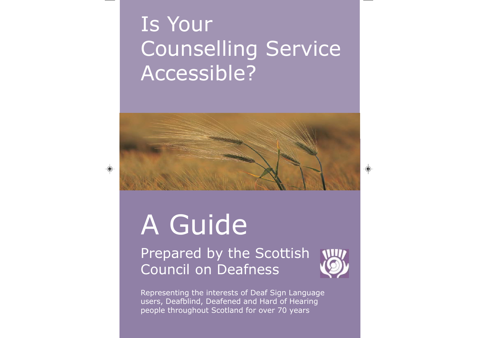## Is Your Counselling Service Accessible?



# A Guide

Prepared by the Scottish Council on Deafness



Representing the interests of Deaf Sign Language users, Deafblind, Deafened and Hard of Hearing people throughout Scotland for over 70 years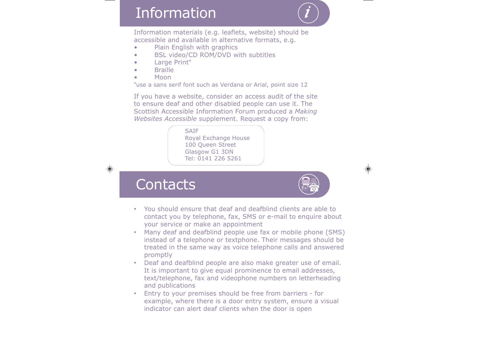## **Information**

*i*

Information materials (e.g. leaflets, website) should be accessible and available in alternative formats, e.g.

- •Plain English with graphics
- •BSL video/CD ROM/DVD with subtitles
- •Large Print**\***
- •Braille
- •Moon

 $\bigoplus$ 

**\***use a sans serif font such as Verdana or Arial, point size 12

If you have a website, consider an access audit of the site to ensure deaf and other disabled people can use it. The Scottish Accessible Information Forum produced a *Making Websites Accessible* supplement. Request a copy from:

<u>Contacts and Contacts and Contacts and Contacts and Contacts and Contacts and Contacts and Contacts and Contacts and Contacts and Contacts and Contacts and Contacts and Contacts and Contacts and Contacts and Contacts and </u> **SAIF** Royal Exchange House 100 Queen Street Glasgow G1 3DN Tel: 0141 226 5261

**Contacts** 



- • You should ensure that deaf and deafblind clients are able to contact you by telephone, fax, SMS or e-mail to enquire about your service or make an appointment
- Many deaf and deafblind people use fax or mobile phone (SMS) instead of a telephone or textphone. Their messages should be treated in the same way as voice telephone calls and answered promptly
- Deaf and deafblind people are also make greater use of email. It is important to give equal prominence to email addresses, text/telephone, fax and videophone numbers on letterheading and publications
- • Entry to your premises should be free from barriers - for example, where there is a door entry system, ensure a visual indicator can alert deaf clients when the door is open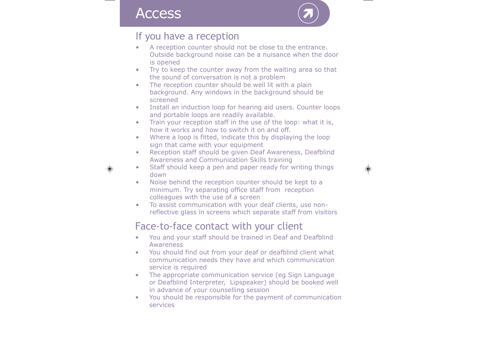#### **Access**



#### If you have a reception

- A reception counter should not be close to the entrance. Outside background noise can be a nuisance when the door is opened
- • Try to keep the counter away from the waiting area so that the sound of conversation is not a problem
- • The reception counter should be well lit with a plain background. Any windows in the background should be screened
- • Install an induction loop for hearing aid users. Counter loops and portable loops are readily available.
- • Train your reception staff in the use of the loop: what it is, how it works and how to switch it on and off.
- • Where a loop is fitted, indicate this by displaying the loop sign that came with your equipment
- • Reception staff should be given Deaf Awareness, Deafblind Awareness and Communication Skills training



- • Staff should keep a pen and paper ready for writing things down
- • Noise behind the reception counter should be kept to a minimum. Try separating office staff from reception colleagues with the use of a screen
- • To assist communication with your deaf clients, use nonreflective glass in screens which separate staff from visitors

#### Face-to-face contact with your client

- • You and your staff should be trained in Deaf and Deafblind Awareness
- $\bullet$  You should find out from your deaf or deafblind client what communication needs they have and which communication service is required
- • The appropriate communication service (eg Sign Language or Deafblind Interpreter, Lipspeaker) should be booked well in advance of your counselling session
- $\bullet$  You should be responsible for the payment of communication services